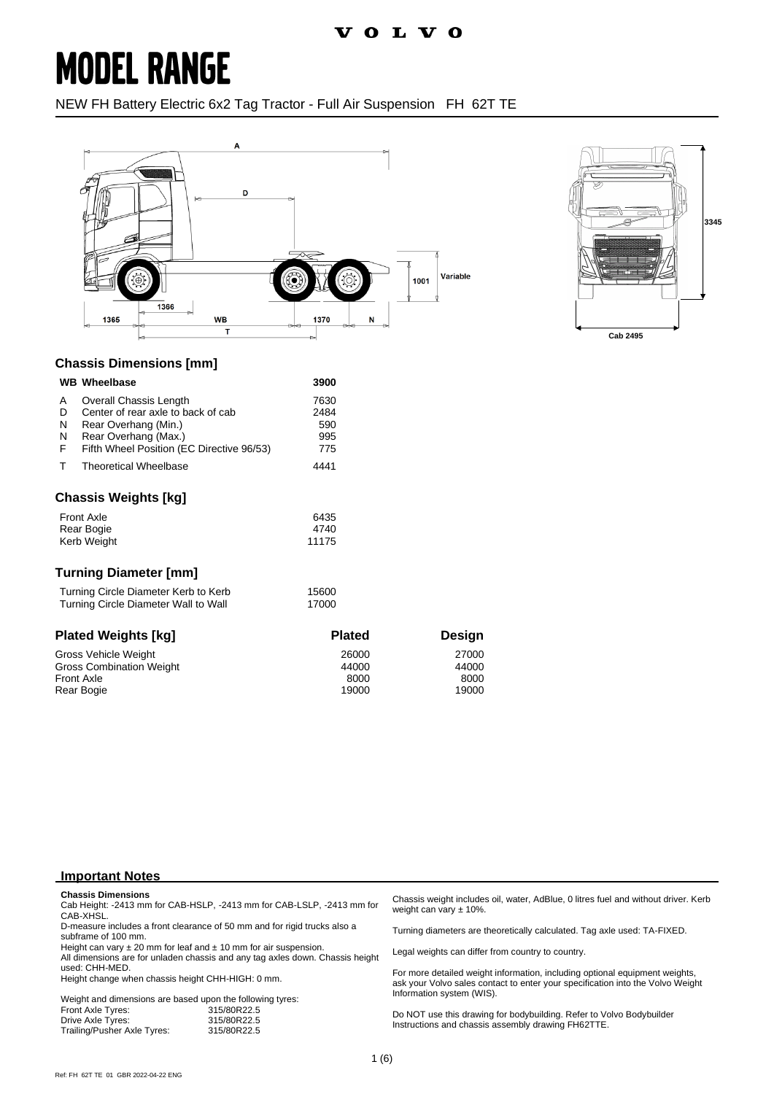### **MODEL RANGE**

NEW FH Battery Electric 6x2 Tag Tractor - Full Air Suspension FH 62T TE





#### **Chassis Dimensions [mm]**

|                       | <b>WB</b> Wheelbase                                                                                                                                       | 3900                              |
|-----------------------|-----------------------------------------------------------------------------------------------------------------------------------------------------------|-----------------------------------|
| Α<br>D<br>N<br>N<br>F | Overall Chassis Length<br>Center of rear axle to back of cab<br>Rear Overhang (Min.)<br>Rear Overhang (Max.)<br>Fifth Wheel Position (EC Directive 96/53) | 7630<br>2484<br>590<br>995<br>775 |
|                       | <b>Theoretical Wheelbase</b>                                                                                                                              | 4441                              |
|                       |                                                                                                                                                           |                                   |

#### **Chassis Weights [kg]**

| <b>Front Axle</b> | 6435  |
|-------------------|-------|
| Rear Bogie        | 4740  |
| Kerb Weight       | 11175 |

#### **Turning Diameter [mm]**

| Turning Circle Diameter Kerb to Kerb | 15600 |
|--------------------------------------|-------|
| Turning Circle Diameter Wall to Wall | 17000 |

| <b>Plated Weights [kg]</b>      | <b>Plated</b> | <b>Design</b> |
|---------------------------------|---------------|---------------|
| Gross Vehicle Weight            | 26000         | 27000         |
| <b>Gross Combination Weight</b> | 44000         | 44000         |
| <b>Front Axle</b>               | 8000          | 8000          |
| Rear Bogie                      | 19000         | 19000         |

#### **Important Notes**

#### **Chassis Dimensions**

Cab Height: -2413 mm for CAB-HSLP, -2413 mm for CAB-LSLP, -2413 mm for CAB-XHSL.

D-measure includes a front clearance of 50 mm and for rigid trucks also a subframe of 100 mm.

Height can vary  $\pm 20$  mm for leaf and  $\pm 10$  mm for air suspension.

All dimensions are for unladen chassis and any tag axles down. Chassis height used: CHH-MED.

Height change when chassis height CHH-HIGH: 0 mm.

| Weight and dimensions are based upon the following tyres: |
|-----------------------------------------------------------|
| 315/80R22.5                                               |
| 315/80R22.5                                               |
| 315/80R22.5                                               |
|                                                           |

Chassis weight includes oil, water, AdBlue, 0 litres fuel and without driver. Kerb weight can vary ± 10%.

Turning diameters are theoretically calculated. Tag axle used: TA-FIXED.

Legal weights can differ from country to country.

For more detailed weight information, including optional equipment weights, ask your Volvo sales contact to enter your specification into the Volvo Weight Information system (WIS).

Do NOT use this drawing for bodybuilding. Refer to Volvo Bodybuilder Instructions and chassis assembly drawing FH62TTE.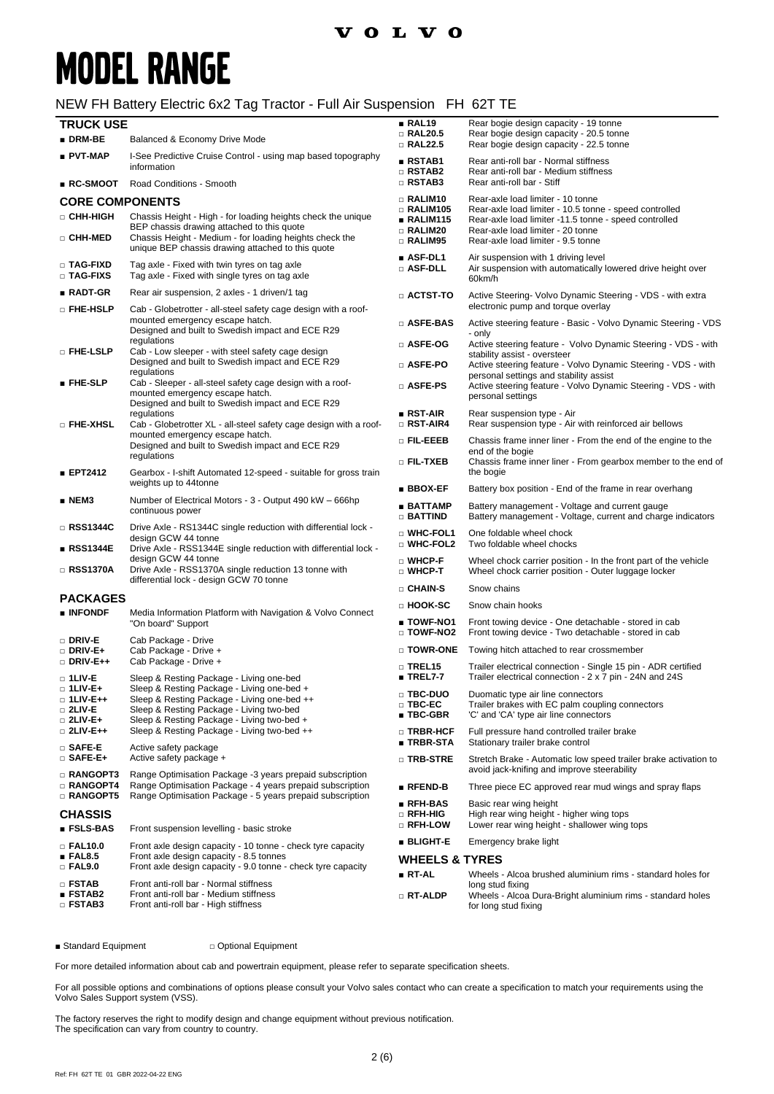# **MODEL RANGE**

### NEW FH Battery Electric 6x2 Tag Tractor - Full Air Suspension FH 62T TE

| <b>TRUCK USE</b>                                                      |                                                                                                                                                                                     | RAL19                                                           | Rear bogie design capacity - 19 tonne                                                                                                                                |
|-----------------------------------------------------------------------|-------------------------------------------------------------------------------------------------------------------------------------------------------------------------------------|-----------------------------------------------------------------|----------------------------------------------------------------------------------------------------------------------------------------------------------------------|
| $\blacksquare$ DRM-BE                                                 | Balanced & Economy Drive Mode                                                                                                                                                       | $\Box$ RAL20.5<br>□ RAL22.5                                     | Rear bogie design capacity - 20.5 tonne<br>Rear bogie design capacity - 22.5 tonne                                                                                   |
| ∎ PVT-MAP<br>∎ RC-SMOOT                                               | I-See Predictive Cruise Control - using map based topography<br>information<br>Road Conditions - Smooth                                                                             | ∎ RSTAB1<br>$\square$ RSTAB2<br>$\Box$ RSTAB3                   | Rear anti-roll bar - Normal stiffness<br>Rear anti-roll bar - Medium stiffness<br>Rear anti-roll bar - Stiff                                                         |
| <b>CORE COMPONENTS</b>                                                |                                                                                                                                                                                     | $\square$ RALIM10                                               | Rear-axle load limiter - 10 tonne                                                                                                                                    |
| □ CHH-HIGH                                                            | Chassis Height - High - for loading heights check the unique<br>BEP chassis drawing attached to this quote                                                                          | $\square$ RALIM105<br>$\blacksquare$ RALIM115                   | Rear-axle load limiter - 10.5 tonne - speed controlled<br>Rear-axle load limiter -11.5 tonne - speed controlled                                                      |
| □ CHH-MED                                                             | Chassis Height - Medium - for loading heights check the<br>unique BEP chassis drawing attached to this quote                                                                        | □ RALIM20<br>□ RALIM95                                          | Rear-axle load limiter - 20 tonne<br>Rear-axle load limiter - 9.5 tonne                                                                                              |
| □ TAG-FIXD<br>□ TAG-FIXS                                              | Tag axle - Fixed with twin tyres on tag axle<br>Tag axle - Fixed with single tyres on tag axle                                                                                      | $\blacksquare$ ASF-DL1<br>□ ASF-DLL                             | Air suspension with 1 driving level<br>Air suspension with automatically lowered drive height over<br>60km/h                                                         |
| $RADT-GR$                                                             | Rear air suspension, 2 axles - 1 driven/1 tag                                                                                                                                       | $\Box$ actst-to                                                 | Active Steering- Volvo Dynamic Steering - VDS - with extra                                                                                                           |
| □ FHE-HSLP                                                            | Cab - Globetrotter - all-steel safety cage design with a roof-<br>mounted emergency escape hatch.                                                                                   | □ ASFE-BAS                                                      | electronic pump and torque overlay<br>Active steering feature - Basic - Volvo Dynamic Steering - VDS                                                                 |
|                                                                       | Designed and built to Swedish impact and ECE R29<br>regulations                                                                                                                     | □ ASFE-OG                                                       | - only<br>Active steering feature - Volvo Dynamic Steering - VDS - with                                                                                              |
| □ FHE-LSLP                                                            | Cab - Low sleeper - with steel safety cage design<br>Designed and built to Swedish impact and ECE R29                                                                               | □ ASFE-PO                                                       | stability assist - oversteer<br>Active steering feature - Volvo Dynamic Steering - VDS - with                                                                        |
| $\blacksquare$ FHE-SLP                                                | regulations<br>Cab - Sleeper - all-steel safety cage design with a roof-<br>mounted emergency escape hatch.<br>Designed and built to Swedish impact and ECE R29                     | $\square$ Asfe-PS                                               | personal settings and stability assist<br>Active steering feature - Volvo Dynamic Steering - VDS - with<br>personal settings                                         |
| $\square$ fhe-xhsl                                                    | regulations<br>Cab - Globetrotter XL - all-steel safety cage design with a roof-                                                                                                    | $\blacksquare$ RST-AIR<br>$\Box$ RST-AIR4                       | Rear suspension type - Air<br>Rear suspension type - Air with reinforced air bellows                                                                                 |
|                                                                       | mounted emergency escape hatch.<br>Designed and built to Swedish impact and ECE R29                                                                                                 | $\scriptstyle\Box$ Fil.-eeeb                                    | Chassis frame inner liner - From the end of the engine to the                                                                                                        |
| EPT2412                                                               | regulations<br>Gearbox - I-shift Automated 12-speed - suitable for gross train                                                                                                      | $\square$ Fil-txeb                                              | end of the bogie<br>Chassis frame inner liner - From gearbox member to the end of<br>the bogie                                                                       |
|                                                                       | weights up to 44tonne                                                                                                                                                               | $\blacksquare$ BBOX-EF                                          | Battery box position - End of the frame in rear overhang                                                                                                             |
| $\blacksquare$ NEM3                                                   | Number of Electrical Motors - 3 - Output 490 kW - 666hp<br>continuous power                                                                                                         | $\blacksquare$ BATTAMP<br>$\Box$ Battind                        | Battery management - Voltage and current gauge<br>Battery management - Voltage, current and charge indicators                                                        |
| □ RSS1344C<br>∎ RSS1344E                                              | Drive Axle - RS1344C single reduction with differential lock -<br>design GCW 44 tonne                                                                                               | $\square$ WHC-FOL1<br>$\square$ WHC-FOL2                        | One foldable wheel chock<br>Two foldable wheel chocks                                                                                                                |
| □ RSS1370A                                                            | Drive Axle - RSS1344E single reduction with differential lock -<br>design GCW 44 tonne<br>Drive Axle - RSS1370A single reduction 13 tonne with                                      | $\square$ WHCP-F<br>$\square$ WHCP-T                            | Wheel chock carrier position - In the front part of the vehicle<br>Wheel chock carrier position - Outer luggage locker                                               |
|                                                                       | differential lock - design GCW 70 tonne                                                                                                                                             | □ CHAIN-S                                                       | Snow chains                                                                                                                                                          |
| <b>PACKAGES</b>                                                       |                                                                                                                                                                                     | □ HOOK-SC                                                       | Snow chain hooks                                                                                                                                                     |
| ■ INFONDF                                                             | Media Information Platform with Navigation & Volvo Connect<br>"On board" Support                                                                                                    | ∎ TOWF-NO1<br>□ TOWF-NO2                                        | Front towing device - One detachable - stored in cab<br>Front towing device - Two detachable - stored in cab                                                         |
| $\square$ Driv-E<br>$\square$ Driv-E+                                 | Cab Package - Drive<br>Cab Package - Drive +                                                                                                                                        | □ TOWR-ONE                                                      | Towing hitch attached to rear crossmember                                                                                                                            |
| DRIV-E++<br>$\square$ 1LIV-E                                          | Cab Package - Drive +<br>Sleep & Resting Package - Living one-bed                                                                                                                   | $\Box$ TREL15<br>$\blacksquare$ TREL7-7                         | Trailer electrical connection - Single 15 pin - ADR certified<br>Trailer electrical connection - 2 x 7 pin - 24N and 24S                                             |
| $\Box$ 1LIV-E+<br>□ 1LIV-L++<br>$\square$ 2LIV-E<br>$\square$ 2LIV-E+ | Sleep & Resting Package - Living one-bed +<br>Sleep & Resting Package - Living one-bed ++<br>Sleep & Resting Package - Living two-bed<br>Sleep & Resting Package - Living two-bed + | $\square$ TBC-DUO<br>$\square$ TBC-EC<br>$\blacksquare$ TBC-GBR | Duomatic type air line connectors<br>Trailer brakes with EC palm coupling connectors<br>'C' and 'CA' type air line connectors                                        |
| □ 2LIV-E++<br>$\square$ Safe-E                                        | Sleep & Resting Package - Living two-bed ++<br>Active safety package                                                                                                                | $\square$ TRBR-HCF<br>∎ TRBR-STA                                | Full pressure hand controlled trailer brake<br>Stationary trailer brake control                                                                                      |
| $\square$ SAFE-E+<br>$\square$ RANGOPT3                               | Active safety package +<br>Range Optimisation Package -3 years prepaid subscription                                                                                                 | $\square$ TRB-STRE                                              | Stretch Brake - Automatic low speed trailer brake activation to<br>avoid jack-knifing and improve steerability                                                       |
| <b>RANGOPT4</b><br>$\Box$ RANGOPT5                                    | Range Optimisation Package - 4 years prepaid subscription<br>Range Optimisation Package - 5 years prepaid subscription                                                              | $\blacksquare$ RFEND-B<br>■ RFH-BAS                             | Three piece EC approved rear mud wings and spray flaps                                                                                                               |
| <b>CHASSIS</b><br><b>FSLS-BAS</b>                                     | Front suspension levelling - basic stroke                                                                                                                                           | □ RFH-HIG<br>$\square$ RFH-LOW                                  | Basic rear wing height<br>High rear wing height - higher wing tops<br>Lower rear wing height - shallower wing tops                                                   |
| $\square$ FAL10.0                                                     | Front axle design capacity - 10 tonne - check tyre capacity                                                                                                                         | ∎ BLIGHT-E                                                      | Emergency brake light                                                                                                                                                |
| FAL8.5<br>$\square$ Fal $9.0$                                         | Front axle design capacity - 8.5 tonnes<br>Front axle design capacity - 9.0 tonne - check tyre capacity                                                                             | <b>WHEELS &amp; TYRES</b>                                       |                                                                                                                                                                      |
| $\Box$ FSTAB<br>∎ FSTAB2<br>$\square$ FSTAB3                          | Front anti-roll bar - Normal stiffness<br>Front anti-roll bar - Medium stiffness<br>Front anti-roll bar - High stiffness                                                            | ∎ RT-AL<br>□ RT-ALDP                                            | Wheels - Alcoa brushed aluminium rims - standard holes for<br>long stud fixing<br>Wheels - Alcoa Dura-Bright aluminium rims - standard holes<br>for long stud fixing |

■ Standard Equipment □ Optional Equipment

For more detailed information about cab and powertrain equipment, please refer to separate specification sheets.

For all possible options and combinations of options please consult your Volvo sales contact who can create a specification to match your requirements using the Volvo Sales Support system (VSS).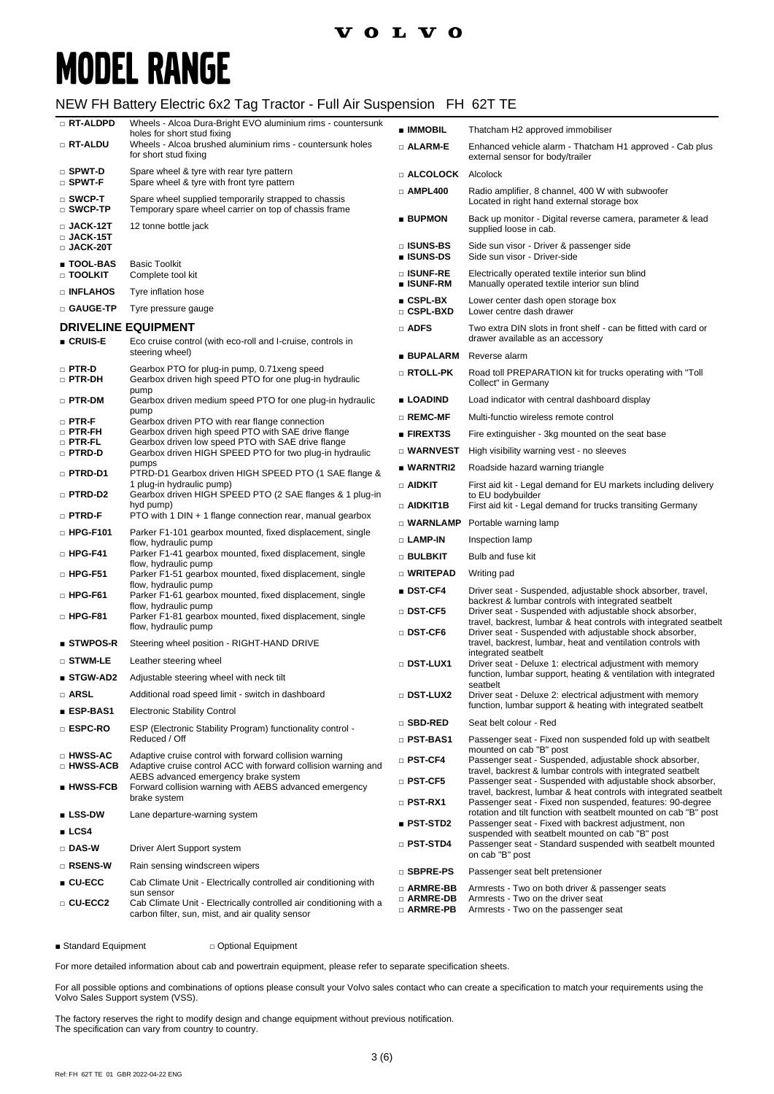### **VOLVO**

# **MODEL RANGE**

#### NEW FH Battery Electric 6x2 Tag Tractor - Full Air Suspension FH 62T TE

| □ RT-ALDPD                               | Wheels - Alcoa Dura-Bright EVO aluminium rims - countersunk<br>holes for short stud fixing                                           | ■ IMMOBIL                              | Thatcham H2 approved immobiliser                                                                                                                                                             |
|------------------------------------------|--------------------------------------------------------------------------------------------------------------------------------------|----------------------------------------|----------------------------------------------------------------------------------------------------------------------------------------------------------------------------------------------|
| □ RT-ALDU                                | Wheels - Alcoa brushed aluminium rims - countersunk holes<br>for short stud fixing                                                   | □ ALARM-E                              | Enhanced vehicle alarm - Thatcham H1 approved - Cab plus<br>external sensor for body/trailer                                                                                                 |
| $\square$ Spwt-D<br>□ SPWT-F             | Spare wheel & tyre with rear tyre pattern<br>Spare wheel & tyre with front tyre pattern                                              | <b>Example COLOCK</b> Alcolock         |                                                                                                                                                                                              |
| $\square$ SWCP-T<br>$\square$ SWCP-TP    | Spare wheel supplied temporarily strapped to chassis<br>Temporary spare wheel carrier on top of chassis frame                        | $\Box$ AMPL400                         | Radio amplifier, 8 channel, 400 W with subwoofer<br>Located in right hand external storage box                                                                                               |
| $\square$ JACK-12T<br>$\square$ JACK-15T | 12 tonne bottle jack                                                                                                                 | ■ BUPMON                               | Back up monitor - Digital reverse camera, parameter & lead<br>supplied loose in cab.                                                                                                         |
| □ JACK-20T<br><b>TOOL-BAS</b>            |                                                                                                                                      | □ ISUNS-BS<br>■ ISUNS-DS               | Side sun visor - Driver & passenger side<br>Side sun visor - Driver-side                                                                                                                     |
| □ TOOLKIT                                | <b>Basic Toolkit</b><br>Complete tool kit                                                                                            | □ ISUNF-RE<br>■ ISUNF-RM               | Electrically operated textile interior sun blind<br>Manually operated textile interior sun blind                                                                                             |
| □ INFLAHOS                               | Tyre inflation hose                                                                                                                  | $CSPL-BX$                              | Lower center dash open storage box                                                                                                                                                           |
| □ GAUGE-TP                               | Tyre pressure gauge                                                                                                                  | $\square$ CSPL-BXD                     | Lower centre dash drawer                                                                                                                                                                     |
| ■ CRUIS-E                                | <b>DRIVELINE EQUIPMENT</b><br>Eco cruise control (with eco-roll and I-cruise, controls in                                            | $\Box$ ADFS                            | Two extra DIN slots in front shelf - can be fitted with card or<br>drawer available as an accessory                                                                                          |
|                                          | steering wheel)                                                                                                                      | ■ BUPALARM                             | Reverse alarm                                                                                                                                                                                |
| $\square$ PTR-D<br>$\square$ PTR-DH      | Gearbox PTO for plug-in pump, 0.71xeng speed<br>Gearbox driven high speed PTO for one plug-in hydraulic<br>pump                      | □ RTOLL-PK                             | Road toll PREPARATION kit for trucks operating with "Toll<br>Collect" in Germany                                                                                                             |
| □ PTR-DM                                 | Gearbox driven medium speed PTO for one plug-in hydraulic                                                                            | ■ LOADIND                              | Load indicator with central dashboard display                                                                                                                                                |
| $\square$ PTR-F                          | pump<br>Gearbox driven PTO with rear flange connection                                                                               | □ REMC-MF                              | Multi-functio wireless remote control                                                                                                                                                        |
| $\square$ PTR-FH<br>$\square$ PTR-FL     | Gearbox driven high speed PTO with SAE drive flange<br>Gearbox driven low speed PTO with SAE drive flange                            | <b>FIREXT3S</b>                        | Fire extinguisher - 3kg mounted on the seat base                                                                                                                                             |
| □ PTRD-D                                 | Gearbox driven HIGH SPEED PTO for two plug-in hydraulic                                                                              | □ WARNVEST                             | High visibility warning vest - no sleeves                                                                                                                                                    |
| □ PTRD-D1                                | pumps<br>PTRD-D1 Gearbox driven HIGH SPEED PTO (1 SAE flange &                                                                       | ■ WARNTRI2                             | Roadside hazard warning triangle                                                                                                                                                             |
| □ PTRD-D2                                | 1 plug-in hydraulic pump)<br>Gearbox driven HIGH SPEED PTO (2 SAE flanges & 1 plug-in                                                | $\Box$ aidkit                          | First aid kit - Legal demand for EU markets including delivery<br>to EU bodybuilder                                                                                                          |
| □ PTRD-F                                 | hyd pump)<br>PTO with 1 DIN + 1 flange connection rear, manual gearbox                                                               | □ AIDKIT1B                             | First aid kit - Legal demand for trucks transiting Germany                                                                                                                                   |
| $\Box$ HPG-F101                          | Parker F1-101 gearbox mounted, fixed displacement, single                                                                            | $\square$ WARNLAMP                     | Portable warning lamp                                                                                                                                                                        |
|                                          | flow, hydraulic pump                                                                                                                 | $\square$ LAMP-IN                      | Inspection lamp                                                                                                                                                                              |
| $\square$ HPG-F41                        | Parker F1-41 gearbox mounted, fixed displacement, single<br>flow, hydraulic pump                                                     | □ BULBKIT                              | Bulb and fuse kit                                                                                                                                                                            |
| $\Box$ HPG-F51                           | Parker F1-51 gearbox mounted, fixed displacement, single<br>flow, hydraulic pump                                                     | □ WRITEPAD                             | Writing pad                                                                                                                                                                                  |
| $\Box$ HPG-F61                           | Parker F1-61 gearbox mounted, fixed displacement, single<br>flow, hydraulic pump                                                     | ■ DST-CF4                              | Driver seat - Suspended, adjustable shock absorber, travel,<br>backrest & lumbar controls with integrated seatbelt                                                                           |
| $\square$ HPG-F81                        | Parker F1-81 gearbox mounted, fixed displacement, single<br>flow, hydraulic pump                                                     | □ DST-CF5<br>$\square$ DST-CF6         | Driver seat - Suspended with adjustable shock absorber,<br>travel, backrest, lumbar & heat controls with integrated seatbelt<br>Driver seat - Suspended with adjustable shock absorber,      |
| $\blacksquare$ STWPOS-R                  | Steering wheel position - RIGHT-HAND DRIVE                                                                                           |                                        | travel, backrest, lumbar, heat and ventilation controls with                                                                                                                                 |
| □ STWM-LE                                | Leather steering wheel                                                                                                               | DST-LUX1                               | integrated seatbelt<br>Driver seat - Deluxe 1: electrical adjustment with memory                                                                                                             |
| ■ STGW-AD2                               | Adjustable steering wheel with neck tilt                                                                                             |                                        | function, lumbar support, heating & ventilation with integrated<br>seatbelt                                                                                                                  |
| <b>D</b> ARSL                            | Additional road speed limit - switch in dashboard                                                                                    | □ DST-LUX2                             | Driver seat - Deluxe 2: electrical adjustment with memory                                                                                                                                    |
| ■ ESP-BAS1                               | <b>Electronic Stability Control</b>                                                                                                  | $\square$ SBD-RED                      | function, lumbar support & heating with integrated seatbelt<br>Seat belt colour - Red                                                                                                        |
| □ ESPC-RO                                | ESP (Electronic Stability Program) functionality control -<br>Reduced / Off                                                          | □ PST-BAS1                             | Passenger seat - Fixed non suspended fold up with seatbelt                                                                                                                                   |
| □ HWSS-AC                                | Adaptive cruise control with forward collision warning                                                                               | □ PST-CF4                              | mounted on cab "B" post<br>Passenger seat - Suspended, adjustable shock absorber,                                                                                                            |
| <b>D HWSS-ACB</b>                        | Adaptive cruise control ACC with forward collision warning and<br>AEBS advanced emergency brake system                               |                                        | travel, backrest & lumbar controls with integrated seatbelt                                                                                                                                  |
| ∎ HWSS-FCB                               | Forward collision warning with AEBS advanced emergency<br>brake system                                                               | $\square$ PST-CF5<br>$\square$ PST-RX1 | Passenger seat - Suspended with adjustable shock absorber,<br>travel, backrest, lumbar & heat controls with integrated seatbelt<br>Passenger seat - Fixed non suspended, features: 90-degree |
| $\blacksquare$ LSS-DW                    | Lane departure-warning system                                                                                                        |                                        | rotation and tilt function with seatbelt mounted on cab "B" post                                                                                                                             |
| LCS4                                     |                                                                                                                                      | ■ PST-STD2                             | Passenger seat - Fixed with backrest adjustment, non<br>suspended with seatbelt mounted on cab "B" post                                                                                      |
| □ DAS-W                                  | Driver Alert Support system                                                                                                          | $\square$ PST-STD4                     | Passenger seat - Standard suspended with seatbelt mounted<br>on cab "B" post                                                                                                                 |
| □ RSENS-W                                | Rain sensing windscreen wipers                                                                                                       | □ SBPRE-PS                             | Passenger seat belt pretensioner                                                                                                                                                             |
| $\blacksquare$ CU-ECC                    | Cab Climate Unit - Electrically controlled air conditioning with                                                                     | □ ARMRE-BB                             | Armrests - Two on both driver & passenger seats                                                                                                                                              |
| □ CU-ECC2                                | sun sensor<br>Cab Climate Unit - Electrically controlled air conditioning with a<br>carbon filter, sun, mist, and air quality sensor | □ ARMRE-DB<br>$\square$ armre-pb       | Armrests - Two on the driver seat<br>Armrests - Two on the passenger seat                                                                                                                    |

■ Standard Equipment □ Optional Equipment

For more detailed information about cab and powertrain equipment, please refer to separate specification sheets.

For all possible options and combinations of options please consult your Volvo sales contact who can create a specification to match your requirements using the Volvo Sales Support system (VSS).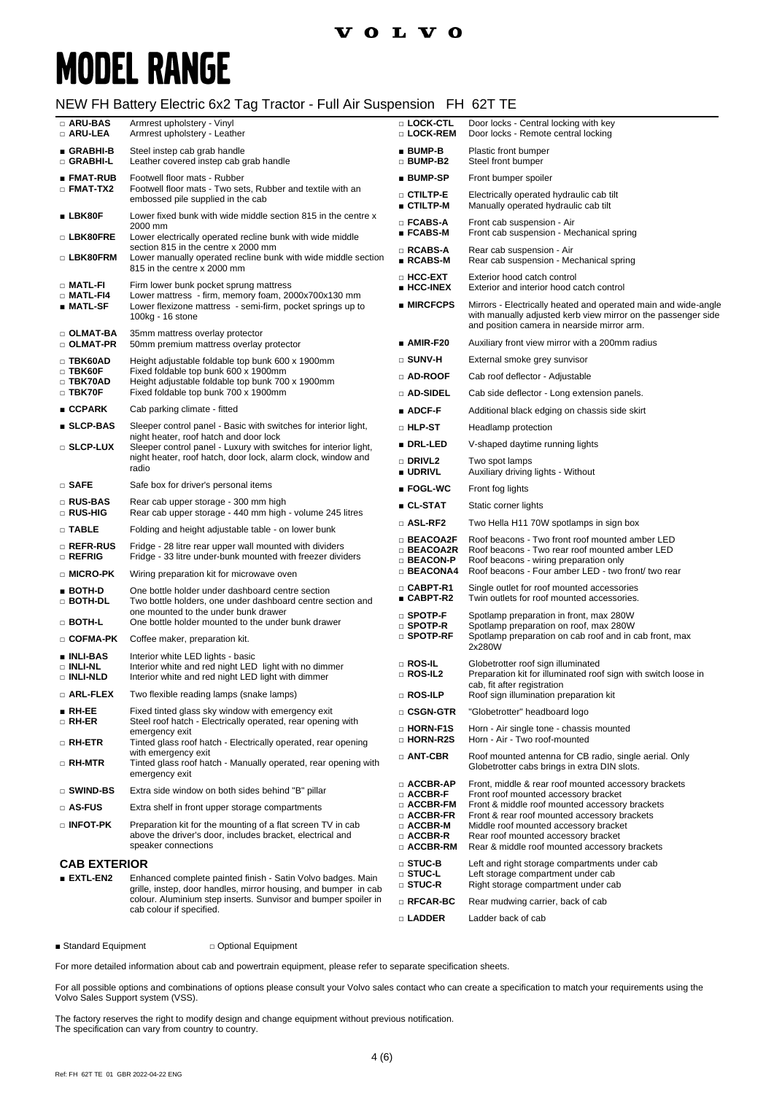### **VOLVO**

# **MODEL RANGE**

#### NEW FH Battery Electric 6x2 Tag Tractor - Full Air Suspension FH 62T TE

| □ ARU-BAS<br>□ ARU-LEA                       | Armrest upholstery - Vinyl<br>Armrest upholstery - Leather                                                                                                                                                                   | □ LOCK-CTL<br>□ LOCK-REM                               | Door locks - Central locking with key<br>Door locks - Remote central locking                                                                                                   |
|----------------------------------------------|------------------------------------------------------------------------------------------------------------------------------------------------------------------------------------------------------------------------------|--------------------------------------------------------|--------------------------------------------------------------------------------------------------------------------------------------------------------------------------------|
| ∎ GRABHI-B<br>□ GRABHI-L                     | Steel instep cab grab handle<br>Leather covered instep cab grab handle                                                                                                                                                       | $BUMP-B$<br>$\Box$ BUMP-B2                             | Plastic front bumper<br>Steel front bumper                                                                                                                                     |
| ∎ FMAT-RUB                                   | Footwell floor mats - Rubber                                                                                                                                                                                                 | ■ BUMP-SP                                              | Front bumper spoiler                                                                                                                                                           |
| $\square$ FMAT-TX2                           | Footwell floor mats - Two sets, Rubber and textile with an<br>embossed pile supplied in the cab                                                                                                                              | $\square$ ctiltp-e<br>■ CTILTP-M                       | Electrically operated hydraulic cab tilt<br>Manually operated hydraulic cab tilt                                                                                               |
| $\blacksquare$ LBK80F                        | Lower fixed bunk with wide middle section 815 in the centre x<br>2000 mm                                                                                                                                                     | $\square$ FCABS-A<br>$\blacksquare$ FCABS-M            | Front cab suspension - Air<br>Front cab suspension - Mechanical spring                                                                                                         |
| □ LBK80FRE                                   | Lower electrically operated recline bunk with wide middle<br>section 815 in the centre x 2000 mm                                                                                                                             |                                                        |                                                                                                                                                                                |
| □ LBK80FRM                                   | Lower manually operated recline bunk with wide middle section<br>815 in the centre x 2000 mm                                                                                                                                 | $\Box$ RCABS-A<br>$RCABS-M$                            | Rear cab suspension - Air<br>Rear cab suspension - Mechanical spring                                                                                                           |
| □ MATL-FI<br>$\square$ Matl-F14              | Firm lower bunk pocket sprung mattress<br>Lower mattress - firm, memory foam, 2000x700x130 mm<br>Lower flexizone mattress - semi-firm, pocket springs up to<br>100kg - 16 stone                                              | □ HCC-EXT<br>$\blacksquare$ HCC-INEX                   | Exterior hood catch control<br>Exterior and interior hood catch control                                                                                                        |
| $\blacksquare$ MATL-SF                       |                                                                                                                                                                                                                              | $\blacksquare$ MIRCFCPS                                | Mirrors - Electrically heated and operated main and wide-angle<br>with manually adjusted kerb view mirror on the passenger side<br>and position camera in nearside mirror arm. |
| $\square$ OLMAT-BA<br>$\square$ olmat-pr     | 35mm mattress overlay protector<br>50mm premium mattress overlay protector                                                                                                                                                   | $\blacksquare$ AMIR-F20                                | Auxiliary front view mirror with a 200mm radius                                                                                                                                |
| $\Box$ TBK60AD                               | Height adjustable foldable top bunk 600 x 1900mm                                                                                                                                                                             | $\square$ SUNV-H                                       | External smoke grey sunvisor                                                                                                                                                   |
| $\square$ TBK60F<br>$\square$ TBK70AD        | Fixed foldable top bunk 600 x 1900mm<br>Height adjustable foldable top bunk 700 x 1900mm                                                                                                                                     | $\Box$ AD-ROOF                                         | Cab roof deflector - Adjustable                                                                                                                                                |
| $\square$ TBK70F                             | Fixed foldable top bunk 700 x 1900mm                                                                                                                                                                                         | □ AD-SIDEL                                             | Cab side deflector - Long extension panels.                                                                                                                                    |
| $\blacksquare$ CCPARK                        | Cab parking climate - fitted                                                                                                                                                                                                 | $\blacksquare$ ADCF-F                                  | Additional black edging on chassis side skirt                                                                                                                                  |
| ■ SLCP-BAS                                   | Sleeper control panel - Basic with switches for interior light,                                                                                                                                                              | ∩ HLP-ST                                               | Headlamp protection                                                                                                                                                            |
| □ SLCP-LUX                                   | night heater, roof hatch and door lock<br>Sleeper control panel - Luxury with switches for interior light,                                                                                                                   | ■ DRL-LED                                              | V-shaped daytime running lights                                                                                                                                                |
|                                              | night heater, roof hatch, door lock, alarm clock, window and<br>radio                                                                                                                                                        | <b>DRIVL2</b><br><b>UDRIVL</b>                         | Two spot lamps<br>Auxiliary driving lights - Without                                                                                                                           |
| $\square$ safe                               | Safe box for driver's personal items                                                                                                                                                                                         | $\blacksquare$ FOGL-WC                                 | Front fog lights                                                                                                                                                               |
| □ RUS-BAS                                    | Rear cab upper storage - 300 mm high                                                                                                                                                                                         | ■ CL-STAT                                              | Static corner lights                                                                                                                                                           |
| <b>RUS-HIG</b>                               | Rear cab upper storage - 440 mm high - volume 245 litres                                                                                                                                                                     | $\square$ ASL-RF2                                      | Two Hella H11 70W spotlamps in sign box                                                                                                                                        |
| $\square$ Table                              | Folding and height adjustable table - on lower bunk                                                                                                                                                                          | $\Box$ BEACOA2F                                        | Roof beacons - Two front roof mounted amber LED                                                                                                                                |
| $\square$ Refr-Rus<br>$\square$ refrig       | Fridge - 28 litre rear upper wall mounted with dividers<br>Fridge - 33 litre under-bunk mounted with freezer dividers                                                                                                        | □ BEACOA2R<br>$\Box$ BEACON-P                          | Roof beacons - Two rear roof mounted amber LED<br>Roof beacons - wiring preparation only                                                                                       |
| □ MICRO-PK                                   | Wiring preparation kit for microwave oven                                                                                                                                                                                    | <b>BEACONA4</b>                                        | Roof beacons - Four amber LED - two front/ two rear                                                                                                                            |
| $\blacksquare$ BOTH-D<br>$\Box$ both-dl      | One bottle holder under dashboard centre section<br>Two bottle holders, one under dashboard centre section and<br>one mounted to the under bunk drawer                                                                       | $\square$ CABPT-R1<br>■ CABPT-R2                       | Single outlet for roof mounted accessories<br>Twin outlets for roof mounted accessories.                                                                                       |
| □ BOTH-L                                     | One bottle holder mounted to the under bunk drawer                                                                                                                                                                           | $\square$ SPOTP-F<br>$\square$ SPOTP-R                 | Spotlamp preparation in front, max 280W<br>Spotlamp preparation on roof, max 280W                                                                                              |
| □ COFMA-PK                                   | Coffee maker, preparation kit.                                                                                                                                                                                               | $\square$ SPOTP-RF                                     | Spotlamp preparation on cab roof and in cab front, max<br>2x280W                                                                                                               |
| <b>u</b> INLI-BAS<br>□ INLI-NL<br>□ INLI-NLD | Interior white LED lights - basic<br>Interior white and red night LED light with no dimmer<br>Interior white and red night LED light with dimmer                                                                             | $\Box$ ROS-IL<br>$\square$ ROS-IL2                     | Globetrotter roof sign illuminated<br>Preparation kit for illuminated roof sign with switch loose in                                                                           |
| $\square$ Arl-Flex                           | Two flexible reading lamps (snake lamps)                                                                                                                                                                                     | □ ROS-ILP                                              | cab, fit after registration<br>Roof sign illumination preparation kit                                                                                                          |
| $\blacksquare$ RH-EE                         | Fixed tinted glass sky window with emergency exit                                                                                                                                                                            | □ CSGN-GTR                                             | "Globetrotter" headboard logo                                                                                                                                                  |
| $\square$ RH-ER<br>$\square$ RH-ETR          | Steel roof hatch - Electrically operated, rear opening with<br>emergency exit<br>Tinted glass roof hatch - Electrically operated, rear opening                                                                               | D HORN-F1S<br>□ HORN-R2S                               | Horn - Air single tone - chassis mounted<br>Horn - Air - Two roof-mounted                                                                                                      |
| □ RH-MTR                                     | with emergency exit<br>Tinted glass roof hatch - Manually operated, rear opening with                                                                                                                                        | □ ANT-CBR                                              | Roof mounted antenna for CB radio, single aerial. Only<br>Globetrotter cabs brings in extra DIN slots.                                                                         |
|                                              | emergency exit                                                                                                                                                                                                               | □ ACCBR-AP                                             | Front, middle & rear roof mounted accessory brackets                                                                                                                           |
| □ SWIND-BS                                   | Extra side window on both sides behind "B" pillar                                                                                                                                                                            | $\Box$ ACCBR-F<br>$\Box$ ACCBR-FM                      | Front roof mounted accessory bracket<br>Front & middle roof mounted accessory brackets                                                                                         |
| □ AS-FUS                                     | Extra shelf in front upper storage compartments                                                                                                                                                                              | $\Box$ ACCBR-FR                                        | Front & rear roof mounted accessory brackets                                                                                                                                   |
| $\Box$ infot-pk                              | Preparation kit for the mounting of a flat screen TV in cab<br>above the driver's door, includes bracket, electrical and<br>speaker connections                                                                              | $\Box$ ACCBR-M<br>$\Box$ ACCBR-R<br>$\square$ ACCBR-RM | Middle roof mounted accessory bracket<br>Rear roof mounted accessory bracket<br>Rear & middle roof mounted accessory brackets                                                  |
| <b>CAB EXTERIOR</b>                          |                                                                                                                                                                                                                              | $\square$ STUC-B                                       | Left and right storage compartments under cab                                                                                                                                  |
| $EXTL-EN2$                                   | Enhanced complete painted finish - Satin Volvo badges. Main<br>grille, instep, door handles, mirror housing, and bumper in cab<br>colour. Aluminium step inserts. Sunvisor and bumper spoiler in<br>cab colour if specified. | $\square$ STUC-L<br>$\square$ STUC-R                   | Left storage compartment under cab<br>Right storage compartment under cab                                                                                                      |
|                                              |                                                                                                                                                                                                                              | $\square$ RFCAR-BC                                     | Rear mudwing carrier, back of cab                                                                                                                                              |
|                                              |                                                                                                                                                                                                                              | □ LADDER                                               | Ladder back of cab                                                                                                                                                             |

■ Standard Equipment □ Optional Equipment

For more detailed information about cab and powertrain equipment, please refer to separate specification sheets.

For all possible options and combinations of options please consult your Volvo sales contact who can create a specification to match your requirements using the Volvo Sales Support system (VSS).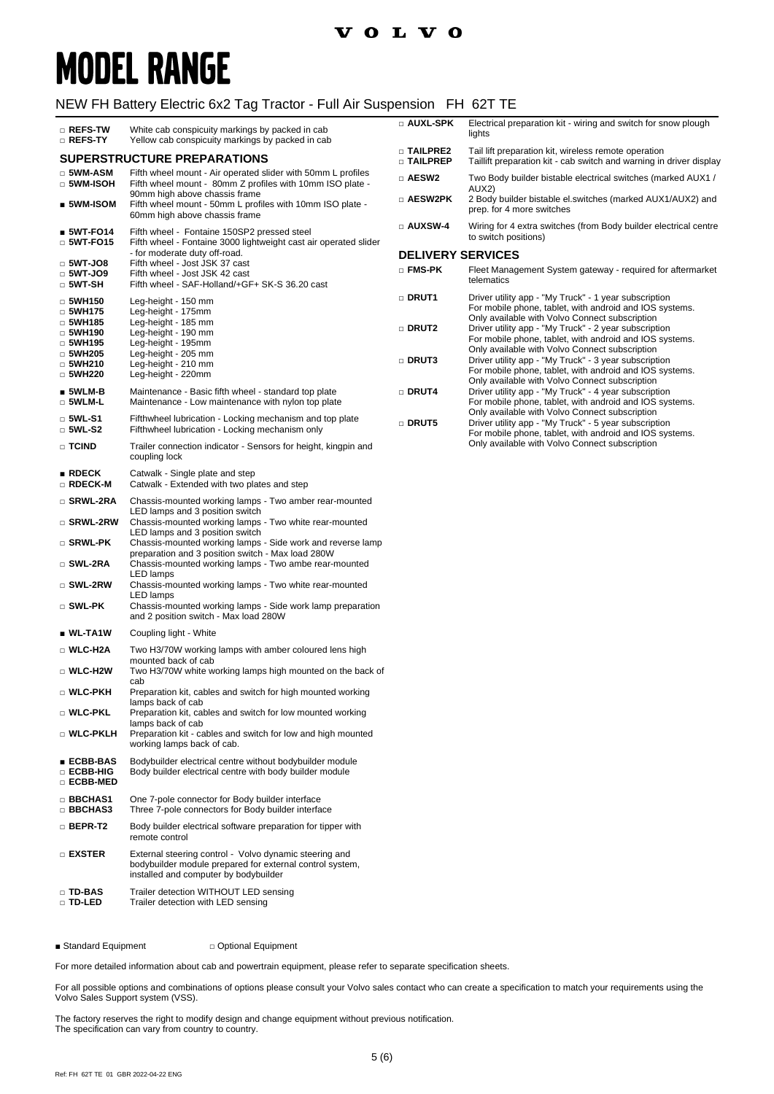# **MODEL RANGE**

#### NEW FH Battery Electric 6x2 Tag Tractor - Full Air Suspension FH 62T TE

| □ REFS-TW<br>□ REFS-TY                          | White cab conspicuity markings by packed in cab<br>Yellow cab conspicuity markings by packed in cab                                                         | □ AUXL-SPK                      | Electrical preparation kit - wiring and switch for snow plough<br>lights                                                                                           |
|-------------------------------------------------|-------------------------------------------------------------------------------------------------------------------------------------------------------------|---------------------------------|--------------------------------------------------------------------------------------------------------------------------------------------------------------------|
|                                                 | <b>SUPERSTRUCTURE PREPARATIONS</b>                                                                                                                          | <b>D TAILPRE2</b><br>□ TAILPREP | Tail lift preparation kit, wireless remote operation<br>Taillift preparation kit - cab switch and warning in driver display                                        |
| $\square$ 5WM-ASM<br>$\Box$ 5WM-ISOH            | Fifth wheel mount - Air operated slider with 50mm L profiles<br>Fifth wheel mount - 80mm Z profiles with 10mm ISO plate -                                   | □ AESW2                         | Two Body builder bistable electrical switches (marked AUX1 /<br>AUX2)                                                                                              |
| $\_$ 5WM-ISOM                                   | 90mm high above chassis frame<br>Fifth wheel mount - 50mm L profiles with 10mm ISO plate -<br>60mm high above chassis frame                                 | □ AESW2PK                       | 2 Body builder bistable el.switches (marked AUX1/AUX2) and<br>prep. for 4 more switches                                                                            |
| $$WT-FO14$<br>$\Box$ 5WT-FO15                   | Fifth wheel - Fontaine 150SP2 pressed steel<br>Fifth wheel - Fontaine 3000 lightweight cast air operated slider                                             | $\square$ AUXSW-4               | Wiring for 4 extra switches (from Body builder electrical centre<br>to switch positions)                                                                           |
| $\Box$ 5WT-JO8                                  | - for moderate duty off-road.<br>Fifth wheel - Jost JSK 37 cast                                                                                             | <b>DELIVERY SERVICES</b>        |                                                                                                                                                                    |
| $\Box$ 5WT-JO9<br>$\Box$ 5WT-SH                 | Fifth wheel - Jost JSK 42 cast<br>Fifth wheel - SAF-Holland/+GF+ SK-S 36.20 cast                                                                            | $\square$ FMS-PK                | Fleet Management System gateway - required for aftermarket<br>telematics                                                                                           |
| $\Box$ 5WH150<br>$\Box$ 5WH175                  | Leg-height - 150 mm<br>Leg-height - 175mm                                                                                                                   | <b>DRUT1</b>                    | Driver utility app - "My Truck" - 1 year subscription<br>For mobile phone, tablet, with android and IOS systems.<br>Only available with Volvo Connect subscription |
| $\Box$ 5WH185<br>$\Box$ 5WH190<br>$\Box$ 5WH195 | Leg-height - 185 mm<br>Leg-height - 190 mm<br>Leg-height - 195mm                                                                                            | <b>DRUT2</b>                    | Driver utility app - "My Truck" - 2 year subscription<br>For mobile phone, tablet, with android and IOS systems.                                                   |
| $\Box$ 5WH205                                   | Leg-height - 205 mm                                                                                                                                         | DRUT3                           | Only available with Volvo Connect subscription<br>Driver utility app - "My Truck" - 3 year subscription                                                            |
| $\Box$ 5WH210<br>$\Box$ 5WH220                  | Leg-height - 210 mm<br>Leg-height - 220mm                                                                                                                   |                                 | For mobile phone, tablet, with android and IOS systems.<br>Only available with Volvo Connect subscription                                                          |
| ∎ 5WLM-B<br>$\Box$ 5WLM-L                       | Maintenance - Basic fifth wheel - standard top plate<br>Maintenance - Low maintenance with nylon top plate                                                  | <b>DRUT4</b>                    | Driver utility app - "My Truck" - 4 year subscription<br>For mobile phone, tablet, with android and IOS systems.<br>Only available with Volvo Connect subscription |
| $\square$ 5WL-S1<br>$\Box$ 5WL-S2               | Fifthwheel lubrication - Locking mechanism and top plate<br>Fifthwheel lubrication - Locking mechanism only                                                 | <b>DRUT5</b>                    | Driver utility app - "My Truck" - 5 year subscription<br>For mobile phone, tablet, with android and IOS systems.                                                   |
| □ TCIND                                         | Trailer connection indicator - Sensors for height, kingpin and<br>coupling lock                                                                             |                                 | Only available with Volvo Connect subscription                                                                                                                     |
| $\blacksquare$ RDECK<br>□ RDECK-M               | Catwalk - Single plate and step<br>Catwalk - Extended with two plates and step                                                                              |                                 |                                                                                                                                                                    |
| □ SRWL-2RA                                      | Chassis-mounted working lamps - Two amber rear-mounted<br>LED lamps and 3 position switch                                                                   |                                 |                                                                                                                                                                    |
| □ SRWL-2RW                                      | Chassis-mounted working lamps - Two white rear-mounted<br>LED lamps and 3 position switch                                                                   |                                 |                                                                                                                                                                    |
| □ SRWL-PK                                       | Chassis-mounted working lamps - Side work and reverse lamp<br>preparation and 3 position switch - Max load 280W                                             |                                 |                                                                                                                                                                    |
| □ SWL-2RA<br>$\square$ SWL-2RW                  | Chassis-mounted working lamps - Two ambe rear-mounted<br>LED lamps<br>Chassis-mounted working lamps - Two white rear-mounted                                |                                 |                                                                                                                                                                    |
| $\square$ SWL-PK                                | LED lamps<br>Chassis-mounted working lamps - Side work lamp preparation                                                                                     |                                 |                                                                                                                                                                    |
|                                                 | and 2 position switch - Max load 280W                                                                                                                       |                                 |                                                                                                                                                                    |
| ∎ WL-TA1W                                       | Coupling light - White                                                                                                                                      |                                 |                                                                                                                                                                    |
| □ WLC-H2A                                       | Two H3/70W working lamps with amber coloured lens high<br>mounted back of cab                                                                               |                                 |                                                                                                                                                                    |
| $\Box$ WLC-H2W                                  | Two H3/70W white working lamps high mounted on the back of<br>cab                                                                                           |                                 |                                                                                                                                                                    |
| $\Box$ WLC-PKH                                  | Preparation kit, cables and switch for high mounted working<br>lamps back of cab                                                                            |                                 |                                                                                                                                                                    |
| $\Box$ WLC-PKL                                  | Preparation kit, cables and switch for low mounted working<br>lamps back of cab                                                                             |                                 |                                                                                                                                                                    |
| □ WLC-PKLH                                      | Preparation kit - cables and switch for low and high mounted<br>working lamps back of cab.                                                                  |                                 |                                                                                                                                                                    |
| ∎ ECBB-BAS<br>□ ECBB-HIG<br>□ ECBB-MED          | Bodybuilder electrical centre without bodybuilder module<br>Body builder electrical centre with body builder module                                         |                                 |                                                                                                                                                                    |
| □ BBCHAS1<br>□ BBCHAS3                          | One 7-pole connector for Body builder interface<br>Three 7-pole connectors for Body builder interface                                                       |                                 |                                                                                                                                                                    |
| $\Box$ BEPR-T2                                  | Body builder electrical software preparation for tipper with<br>remote control                                                                              |                                 |                                                                                                                                                                    |
| □ EXSTER                                        | External steering control - Volvo dynamic steering and<br>bodybuilder module prepared for external control system,<br>installed and computer by bodybuilder |                                 |                                                                                                                                                                    |
| $\square$ TD-BAS<br>□ TD-LED                    | Trailer detection WITHOUT LED sensing<br>Trailer detection with LED sensing                                                                                 |                                 |                                                                                                                                                                    |

■ Standard Equipment □ Optional Equipment

For more detailed information about cab and powertrain equipment, please refer to separate specification sheets.

For all possible options and combinations of options please consult your Volvo sales contact who can create a specification to match your requirements using the Volvo Sales Support system (VSS).